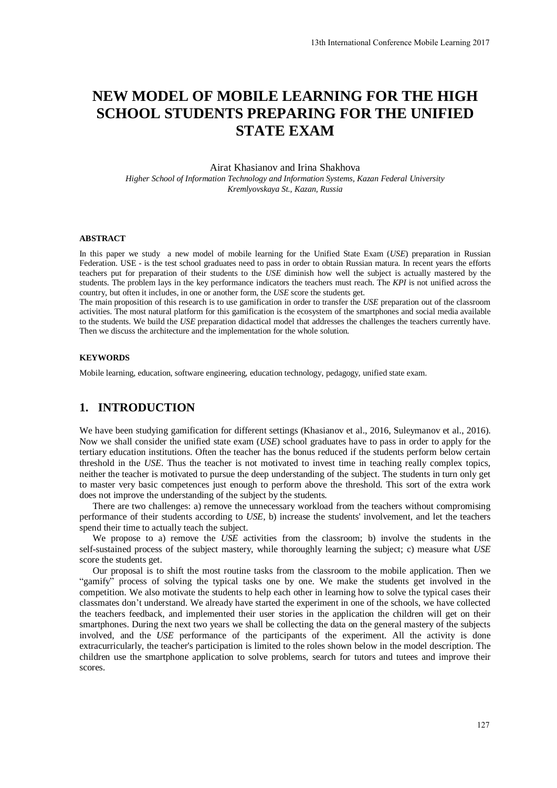# **NEW MODEL OF MOBILE LEARNING FOR THE HIGH SCHOOL STUDENTS PREPARING FOR THE UNIFIED STATE EXAM**

Airat Khasianov and Irina Shakhova

*Higher School of Information Technology and Information Systems, Kazan Federal University Kremlyovskaya St., Kazan, Russia* 

#### **ABSTRACT**

In this paper we study a new model of mobile learning for the Unified State Exam (*USE*) preparation in Russian Federation. USE - is the test school graduates need to pass in order to obtain Russian matura. In recent years the efforts teachers put for preparation of their students to the *USE* diminish how well the subject is actually mastered by the students. The problem lays in the key performance indicators the teachers must reach. The *KPI* is not unified across the country, but often it includes, in one or another form, the *USE* score the students get.

The main proposition of this research is to use gamification in order to transfer the *USE* preparation out of the classroom activities. The most natural platform for this gamification is the ecosystem of the smartphones and social media available to the students. We build the *USE* preparation didactical model that addresses the challenges the teachers currently have. Then we discuss the architecture and the implementation for the whole solution.

#### **KEYWORDS**

Mobile learning, education, software engineering, education technology, pedagogy, unified state exam.

## **1. INTRODUCTION**

We have been studying gamification for different settings (Khasianov et al., 2016, Suleymanov et al., 2016). Now we shall consider the unified state exam (*USE*) school graduates have to pass in order to apply for the tertiary education institutions. Often the teacher has the bonus reduced if the students perform below certain threshold in the *USE*. Thus the teacher is not motivated to invest time in teaching really complex topics, neither the teacher is motivated to pursue the deep understanding of the subject. The students in turn only get to master very basic competences just enough to perform above the threshold. This sort of the extra work does not improve the understanding of the subject by the students.

There are two challenges: a) remove the unnecessary workload from the teachers without compromising performance of their students according to *USE*, b) increase the students' involvement, and let the teachers spend their time to actually teach the subject.

We propose to a) remove the *USE* activities from the classroom; b) involve the students in the self-sustained process of the subject mastery, while thoroughly learning the subject; c) measure what *USE* score the students get.

Our proposal is to shift the most routine tasks from the classroom to the mobile application. Then we "gamify" process of solving the typical tasks one by one. We make the students get involved in the competition. We also motivate the students to help each other in learning how to solve the typical cases their classmates don't understand. We already have started the experiment in one of the schools, we have collected the teachers feedback, and implemented their user stories in the application the children will get on their smartphones. During the next two years we shall be collecting the data on the general mastery of the subjects involved, and the *USE* performance of the participants of the experiment. All the activity is done extracurricularly, the teacher's participation is limited to the roles shown below in the model description. The children use the smartphone application to solve problems, search for tutors and tutees and improve their scores.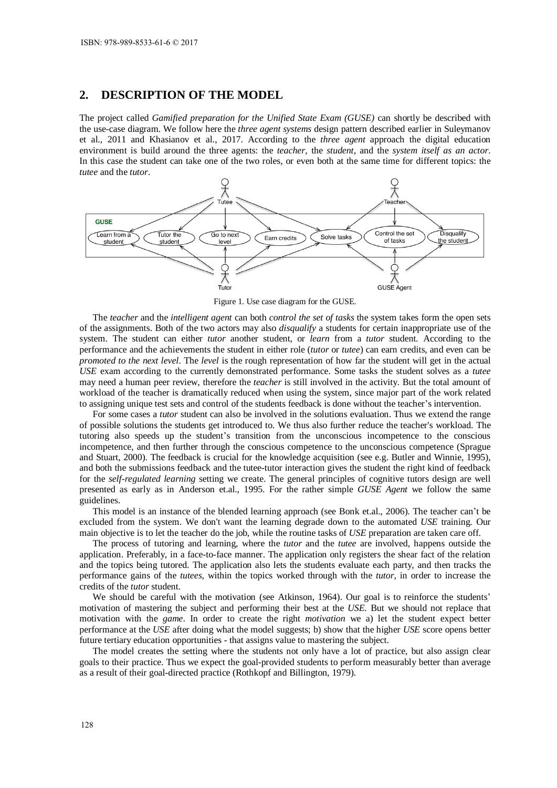### **2. DESCRIPTION OF THE MODEL**

The project called *Gamified preparation for the Unified State Exam (GUSE)* can shortly be described with the use-case diagram. We follow here the *three agent systems* design pattern described earlier in Suleymanov et al., 2011 and Khasianov et al., 2017. According to the *three agent* approach the digital education environment is build around the three agents: the *teacher*, the *student*, and the *system itself as an actor*. In this case the student can take one of the two roles, or even both at the same time for different topics: the *tutee* and the *tutor*.



Figure 1. Use case diagram for the GUSE.

The *teacher* and the *intelligent agent* can both *control the set of tasks* the system takes form the open sets of the assignments. Both of the two actors may also *disqualify* a students for certain inappropriate use of the system. The student can either *tutor* another student, or *learn* from a *tutor* student. According to the performance and the achievements the student in either role (*tutor* or *tutee*) can earn credits, and even can be *promoted to the next level*. The *level* is the rough representation of how far the student will get in the actual *USE* exam according to the currently demonstrated performance. Some tasks the student solves as a *tutee* may need a human peer review, therefore the *teacher* is still involved in the activity. But the total amount of workload of the teacher is dramatically reduced when using the system, since major part of the work related to assigning unique test sets and control of the students feedback is done without the teacher's intervention.

For some cases a *tutor* student can also be involved in the solutions evaluation. Thus we extend the range of possible solutions the students get introduced to. We thus also further reduce the teacher's workload. The tutoring also speeds up the student's transition from the unconscious incompetence to the conscious incompetence, and then further through the conscious competence to the unconscious competence (Sprague and Stuart, 2000). The feedback is crucial for the knowledge acquisition (see e.g. Butler and Winnie, 1995), and both the submissions feedback and the tutee-tutor interaction gives the student the right kind of feedback for the *self-regulated learning* setting we create. The general principles of cognitive tutors design are well presented as early as in Anderson et.al., 1995. For the rather simple *GUSE Agent* we follow the same guidelines.

This model is an instance of the blended learning approach (see Bonk et.al., 2006). The teacher can't be excluded from the system. We don't want the learning degrade down to the automated *USE* training*.* Our main objective is to let the teacher do the job, while the routine tasks of *USE* preparation are taken care off.

The process of tutoring and learning, where the *tutor* and the *tutee* are involved, happens outside the application. Preferably, in a face-to-face manner. The application only registers the shear fact of the relation and the topics being tutored. The application also lets the students evaluate each party, and then tracks the performance gains of the *tutees,* within the topics worked through with the *tutor,* in order to increase the credits of the *tutor* student.

We should be careful with the motivation (see Atkinson, 1964). Our goal is to reinforce the students' motivation of mastering the subject and performing their best at the *USE.* But we should not replace that motivation with the *game*. In order to create the right *motivation* we a) let the student expect better performance at the *USE* after doing what the model suggests; b) show that the higher *USE* score opens better future tertiary education opportunities - that assigns value to mastering the subject.

The model creates the setting where the students not only have a lot of practice, but also assign clear goals to their practice. Thus we expect the goal-provided students to perform measurably better than average as a result of their goal-directed practice (Rothkopf and Billington, 1979).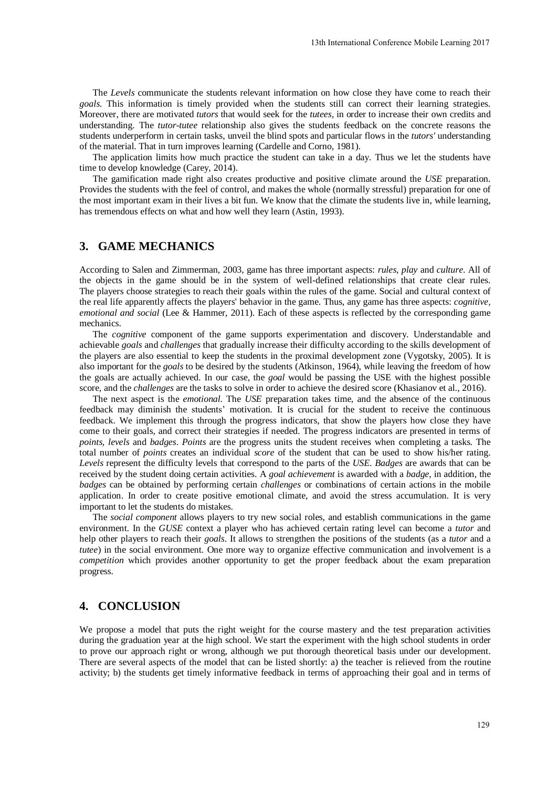The *Levels* communicate the students relevant information on how close they have come to reach their *goals.* This information is timely provided when the students still can correct their learning strategies. Moreover, there are motivated *tutors* that would seek for the *tutees,* in order to increase their own credits and understanding. The *tutor-tutee* relationship also gives the students feedback on the concrete reasons the students underperform in certain tasks, unveil the blind spots and particular flows in the *tutors'* understanding of the material. That in turn improves learning (Cardelle and Corno, 1981).

The application limits how much practice the student can take in a day. Thus we let the students have time to develop knowledge (Carey, 2014).

The gamification made right also creates productive and positive climate around the *USE* preparation. Provides the students with the feel of control, and makes the whole (normally stressful) preparation for one of the most important exam in their lives a bit fun. We know that the climate the students live in, while learning, has tremendous effects on what and how well they learn (Astin, 1993).

### **3. GAME MECHANICS**

According to Salen and Zimmerman, 2003, game has three important aspects: *rules*, *play* and *culture*. All of the objects in the game should be in the system of well-defined relationships that create clear rules. The players choose strategies to reach their goals within the rules of the game. Social and cultural context of the real life apparently affects the players' behavior in the game. Thus, any game has three aspects: *cognitive, emotional and social* (Lee & Hammer, 2011). Each of these aspects is reflected by the corresponding game mechanics.

The *cognitive* component of the game supports experimentation and discovery. Understandable and achievable *goals* and *challenges* that gradually increase their difficulty according to the skills development of the players are also essential to keep the students in the proximal development zone (Vygotsky, 2005). It is also important for the *goals* to be desired by the students (Atkinson, 1964), while leaving the freedom of how the goals are actually achieved. In our case, the *goal* would be passing the USE with the highest possible score, and the *challenges* are the tasks to solve in order to achieve the desired score (Khasianov et al., 2016).

The next aspect is the *emotional*. The *USE* preparation takes time, and the absence of the continuous feedback may diminish the students' motivation. It is crucial for the student to receive the continuous feedback. We implement this through the progress indicators, that show the players how close they have come to their goals, and correct their strategies if needed. The progress indicators are presented in terms of *points, levels* and *badges*. *Points* are the progress units the student receives when completing a tasks. The total number of *points* creates an individual *score* of the student that can be used to show his/her rating. *Levels* represent the difficulty levels that correspond to the parts of the *USE*. *Badges* are awards that can be received by the student doing certain activities. A *goal achievement* is awarded with a *badge*, in addition, the *badges* can be obtained by performing certain *challenges* or combinations of certain actions in the mobile application. In order to create positive emotional climate, and avoid the stress accumulation. It is very important to let the students do mistakes.

The *social component* allows players to try new social roles, and establish communications in the game environment. In the *GUSE* context a player who has achieved certain rating level can become a *tutor* and help other players to reach their *goals*. It allows to strengthen the positions of the students (as a *tutor* and a *tutee*) in the social environment. One more way to organize effective communication and involvement is a *competition* which provides another opportunity to get the proper feedback about the exam preparation progress.

#### **4. CONCLUSION**

We propose a model that puts the right weight for the course mastery and the test preparation activities during the graduation year at the high school. We start the experiment with the high school students in order to prove our approach right or wrong, although we put thorough theoretical basis under our development. There are several aspects of the model that can be listed shortly: a) the teacher is relieved from the routine activity; b) the students get timely informative feedback in terms of approaching their goal and in terms of